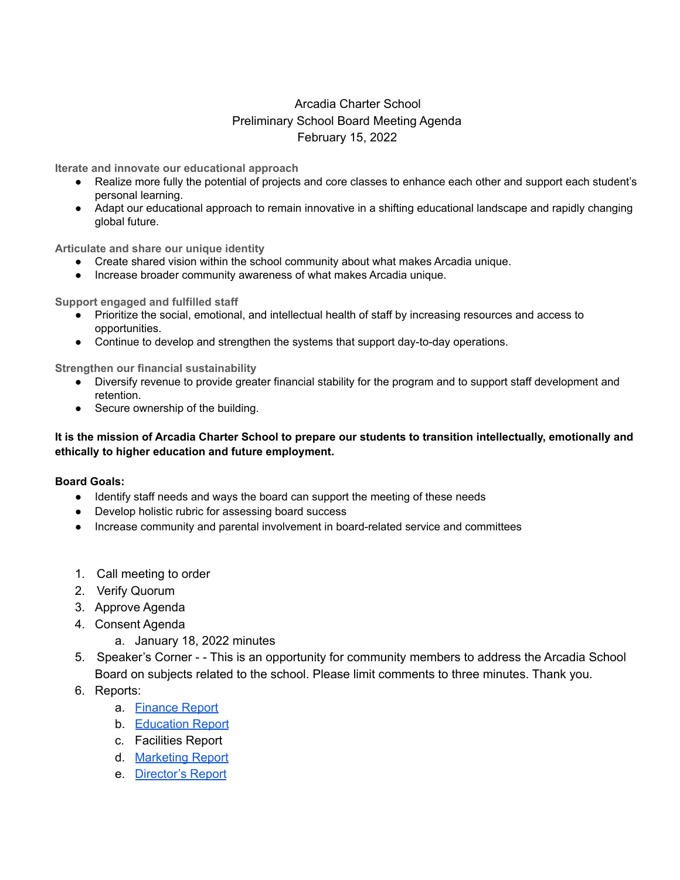## Arcadia Charter School Preliminary School Board Meeting Agenda February 15, 2022

**Iterate and innovate our educational approach**

- Realize more fully the potential of projects and core classes to enhance each other and support each student's personal learning.
- Adapt our educational approach to remain innovative in a shifting educational landscape and rapidly changing global future.

**Articulate and share our unique identity**

- Create shared vision within the school community about what makes Arcadia unique.
- Increase broader community awareness of what makes Arcadia unique.

**Support engaged and fulfilled staff**

- Prioritize the social, emotional, and intellectual health of staff by increasing resources and access to opportunities.
- Continue to develop and strengthen the systems that support day-to-day operations.

**Strengthen our financial sustainability**

- Diversify revenue to provide greater financial stability for the program and to support staff development and retention.
- Secure ownership of the building.

## It is the mission of Arcadia Charter School to prepare our students to transition intellectually, emotionally and **ethically to higher education and future employment.**

## **Board Goals:**

- Identify staff needs and ways the board can support the meeting of these needs
- Develop holistic rubric for assessing board success
- Increase community and parental involvement in board-related service and committees
- 1. Call meeting to order
- 2. Verify Quorum
- 3. Approve Agenda
- 4. Consent Agenda
	- a. January 18, 2022 minutes
- 5. Speaker's Corner - This is an opportunity for community members to address the Arcadia School Board on subjects related to the school. Please limit comments to three minutes. Thank you.
- 6. Reports:
	- a. [Finance](https://docs.google.com/document/d/1BjsiUuxKjKolF3t7HP_uSMr8MyHGnBn4nwjhrjhAdAE/edit?usp=sharing) Report
	- b. [Education](https://docs.google.com/document/d/13Ap8L6O9Gf9K0aWiVdRqEdiTDxv3ueesdUEBDTXAZ7Y/edit?usp=sharing) Report
	- c. Facilities Report
	- d. [Marketing](https://docs.google.com/document/d/1cU_KS06PRRIYZToxbUqqT2nimj6QhmLIy7G0I1D0auE/edit?usp=sharing) Report
	- e. [Director's](https://docs.google.com/document/d/1MIhGk3TST3sV8MPqK5IrPyxDax-dMCdGCv28NUz6q5M/edit?usp=sharingDax-dMCdGCv28NUz6q5M/edit17Fg8/edit) Report